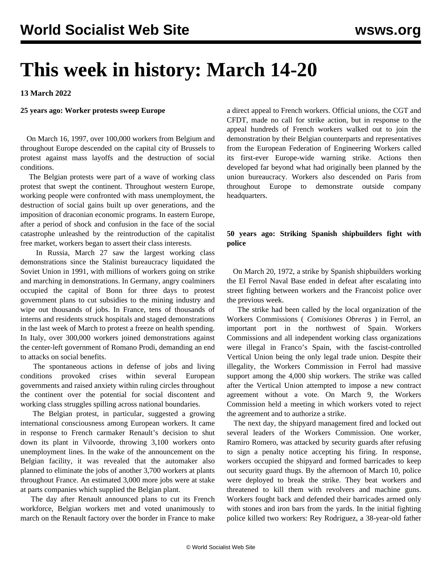# **This week in history: March 14-20**

**13 March 2022**

## **25 years ago: Worker protests sweep Europe**

 On March 16, 1997, over 100,000 workers from Belgium and throughout Europe descended on the capital city of Brussels to protest against mass layoffs and the destruction of social conditions.

 The Belgian protests were part of a wave of working class protest that swept the continent. Throughout western Europe, working people were confronted with mass unemployment, the destruction of social gains built up over generations, and the imposition of draconian economic programs. In eastern Europe, after a period of shock and confusion in the face of the social catastrophe unleashed by the reintroduction of the capitalist free market, workers began to assert their class interests.

 In Russia, March 27 saw the largest working class demonstrations since the Stalinist bureaucracy liquidated the Soviet Union in 1991, with millions of workers going on strike and marching in demonstrations. In Germany, angry coalminers occupied the capital of Bonn for three days to protest government plans to cut subsidies to the mining industry and wipe out thousands of jobs. In France, tens of thousands of interns and residents struck hospitals and staged demonstrations in the last week of March to protest a freeze on health spending. In Italy, over 300,000 workers joined demonstrations against the center-left government of Romano Prodi, demanding an end to attacks on social benefits.

 The spontaneous actions in defense of jobs and living conditions provoked crises within several European governments and raised anxiety within ruling circles throughout the continent over the potential for social discontent and working class struggles spilling across national boundaries.

 The Belgian protest, in particular, suggested a growing international consciousness among European workers. It came in response to French carmaker Renault's decision to shut down its plant in Vilvoorde, throwing 3,100 workers onto unemployment lines. In the wake of the announcement on the Belgian facility, it was revealed that the automaker also planned to eliminate the jobs of another 3,700 workers at plants throughout France. An estimated 3,000 more jobs were at stake at parts companies which supplied the Belgian plant.

 The day after Renault announced plans to cut its French workforce, Belgian workers met and voted unanimously to march on the Renault factory over the border in France to make a direct appeal to French workers. Official unions, the CGT and CFDT, made no call for strike action, but in response to the appeal hundreds of French workers walked out to join the demonstration by their Belgian counterparts and representatives from the European Federation of Engineering Workers called its first-ever Europe-wide warning strike. Actions then developed far beyond what had originally been planned by the union bureaucracy. Workers also descended on Paris from throughout Europe to demonstrate outside company headquarters.

## **50 years ago: Striking Spanish shipbuilders fight with police**

 On March 20, 1972, a strike by Spanish shipbuilders working the El Ferrol Naval Base ended in defeat after escalating into street fighting between workers and the Francoist police over the previous week.

 The strike had been called by the local organization of the Workers Commissions ( *Comisiones Obreras* ) in Ferrol, an important port in the northwest of Spain. Workers Commissions and all independent working class organizations were illegal in Franco's Spain, with the fascist-controlled Vertical Union being the only legal trade union. Despite their illegality, the Workers Commission in Ferrol had massive support among the 4,000 ship workers. The strike was called after the Vertical Union attempted to impose a new contract agreement without a vote. On March 9, the Workers Commission held a meeting in which workers voted to reject the agreement and to authorize a strike.

 The next day, the shipyard management fired and locked out several leaders of the Workers Commission. One worker, Ramiro Romero, was attacked by security guards after refusing to sign a penalty notice accepting his firing. In response, workers occupied the shipyard and formed barricades to keep out security guard thugs. By the afternoon of March 10, police were deployed to break the strike. They beat workers and threatened to kill them with revolvers and machine guns. Workers fought back and defended their barricades armed only with stones and iron bars from the yards. In the initial fighting police killed two workers: Rey Rodriguez, a 38-year-old father